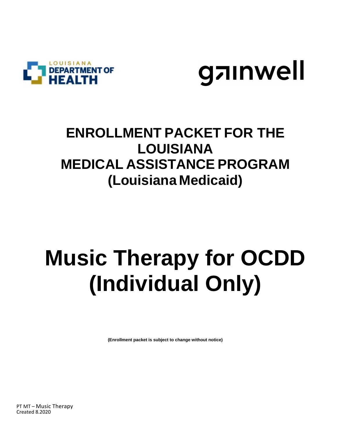



## **ENROLLMENT PACKET FOR THE LOUISIANA MEDICAL ASSISTANCE PROGRAM (Louisiana Medicaid)**

## **Music Therapy for OCDD (Individual Only)**

 **(Enrollment packet is subject to change without notice)**